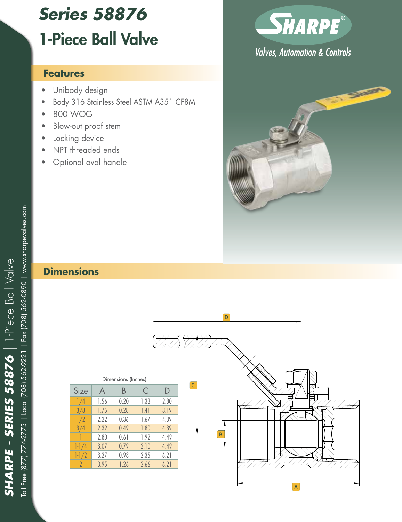# *Series 58876* 1-Piece Ball Valve

#### **Features**

- Unibody design
- Body 316 Stainless Steel ASTM A351 CF8M
- 800 WOG
- Blow-out proof stem
- Locking device
- NPT threaded ends Optional oval handle
- 



# **Valves, Automation & Controls**



### **Dimensions**